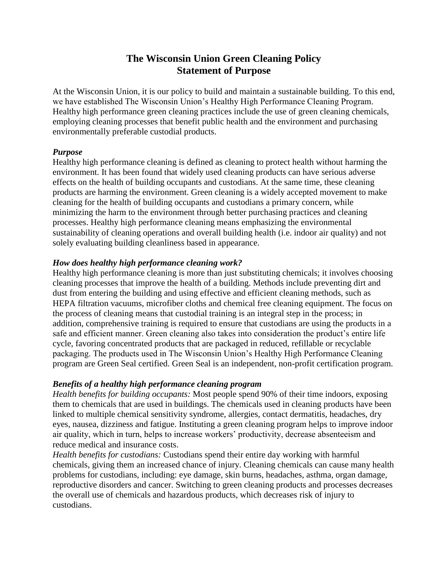# **The Wisconsin Union Green Cleaning Policy Statement of Purpose**

At the Wisconsin Union, it is our policy to build and maintain a sustainable building. To this end, we have established The Wisconsin Union's Healthy High Performance Cleaning Program. Healthy high performance green cleaning practices include the use of green cleaning chemicals, employing cleaning processes that benefit public health and the environment and purchasing environmentally preferable custodial products.

## *Purpose*

Healthy high performance cleaning is defined as cleaning to protect health without harming the environment. It has been found that widely used cleaning products can have serious adverse effects on the health of building occupants and custodians. At the same time, these cleaning products are harming the environment. Green cleaning is a widely accepted movement to make cleaning for the health of building occupants and custodians a primary concern, while minimizing the harm to the environment through better purchasing practices and cleaning processes. Healthy high performance cleaning means emphasizing the environmental sustainability of cleaning operations and overall building health (i.e. indoor air quality) and not solely evaluating building cleanliness based in appearance.

## *How does healthy high performance cleaning work?*

Healthy high performance cleaning is more than just substituting chemicals; it involves choosing cleaning processes that improve the health of a building. Methods include preventing dirt and dust from entering the building and using effective and efficient cleaning methods, such as HEPA filtration vacuums, microfiber cloths and chemical free cleaning equipment. The focus on the process of cleaning means that custodial training is an integral step in the process; in addition, comprehensive training is required to ensure that custodians are using the products in a safe and efficient manner. Green cleaning also takes into consideration the product's entire life cycle, favoring concentrated products that are packaged in reduced, refillable or recyclable packaging. The products used in The Wisconsin Union's Healthy High Performance Cleaning program are Green Seal certified. Green Seal is an independent, non-profit certification program.

# *Benefits of a healthy high performance cleaning program*

*Health benefits for building occupants:* Most people spend 90% of their time indoors, exposing them to chemicals that are used in buildings. The chemicals used in cleaning products have been linked to multiple chemical sensitivity syndrome, allergies, contact dermatitis, headaches, dry eyes, nausea, dizziness and fatigue. Instituting a green cleaning program helps to improve indoor air quality, which in turn, helps to increase workers' productivity, decrease absenteeism and reduce medical and insurance costs.

*Health benefits for custodians:* Custodians spend their entire day working with harmful chemicals, giving them an increased chance of injury. Cleaning chemicals can cause many health problems for custodians, including: eye damage, skin burns, headaches, asthma, organ damage, reproductive disorders and cancer. Switching to green cleaning products and processes decreases the overall use of chemicals and hazardous products, which decreases risk of injury to custodians.